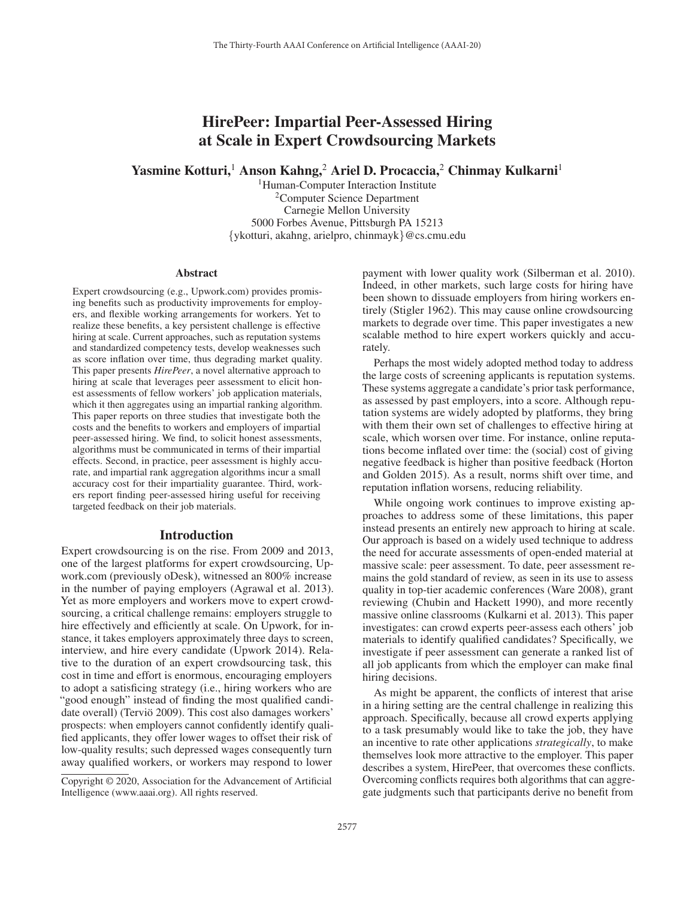# HirePeer: Impartial Peer-Assessed Hiring at Scale in Expert Crowdsourcing Markets

Yasmine Kotturi,<sup>1</sup> Anson Kahng,<sup>2</sup> Ariel D. Procaccia,<sup>2</sup> Chinmay Kulkarni<sup>1</sup>

<sup>1</sup>Human-Computer Interaction Institute <sup>2</sup>Computer Science Department Carnegie Mellon University 5000 Forbes Avenue, Pittsburgh PA 15213 {ykotturi, akahng, arielpro, chinmayk}@cs.cmu.edu

#### Abstract

Expert crowdsourcing (e.g., Upwork.com) provides promising benefits such as productivity improvements for employers, and flexible working arrangements for workers. Yet to realize these benefits, a key persistent challenge is effective hiring at scale. Current approaches, such as reputation systems and standardized competency tests, develop weaknesses such as score inflation over time, thus degrading market quality. This paper presents *HirePeer*, a novel alternative approach to hiring at scale that leverages peer assessment to elicit honest assessments of fellow workers' job application materials, which it then aggregates using an impartial ranking algorithm. This paper reports on three studies that investigate both the costs and the benefits to workers and employers of impartial peer-assessed hiring. We find, to solicit honest assessments, algorithms must be communicated in terms of their impartial effects. Second, in practice, peer assessment is highly accurate, and impartial rank aggregation algorithms incur a small accuracy cost for their impartiality guarantee. Third, workers report finding peer-assessed hiring useful for receiving targeted feedback on their job materials.

#### Introduction

Expert crowdsourcing is on the rise. From 2009 and 2013, one of the largest platforms for expert crowdsourcing, Upwork.com (previously oDesk), witnessed an 800% increase in the number of paying employers (Agrawal et al. 2013). Yet as more employers and workers move to expert crowdsourcing, a critical challenge remains: employers struggle to hire effectively and efficiently at scale. On Upwork, for instance, it takes employers approximately three days to screen, interview, and hire every candidate (Upwork 2014). Relative to the duration of an expert crowdsourcing task, this cost in time and effort is enormous, encouraging employers to adopt a satisficing strategy (i.e., hiring workers who are "good enough" instead of finding the most qualified candidate overall) (Terviö 2009). This cost also damages workers' prospects: when employers cannot confidently identify qualified applicants, they offer lower wages to offset their risk of low-quality results; such depressed wages consequently turn away qualified workers, or workers may respond to lower

payment with lower quality work (Silberman et al. 2010). Indeed, in other markets, such large costs for hiring have been shown to dissuade employers from hiring workers entirely (Stigler 1962). This may cause online crowdsourcing markets to degrade over time. This paper investigates a new scalable method to hire expert workers quickly and accurately.

Perhaps the most widely adopted method today to address the large costs of screening applicants is reputation systems. These systems aggregate a candidate's prior task performance, as assessed by past employers, into a score. Although reputation systems are widely adopted by platforms, they bring with them their own set of challenges to effective hiring at scale, which worsen over time. For instance, online reputations become inflated over time: the (social) cost of giving negative feedback is higher than positive feedback (Horton and Golden 2015). As a result, norms shift over time, and reputation inflation worsens, reducing reliability.

While ongoing work continues to improve existing approaches to address some of these limitations, this paper instead presents an entirely new approach to hiring at scale. Our approach is based on a widely used technique to address the need for accurate assessments of open-ended material at massive scale: peer assessment. To date, peer assessment remains the gold standard of review, as seen in its use to assess quality in top-tier academic conferences (Ware 2008), grant reviewing (Chubin and Hackett 1990), and more recently massive online classrooms (Kulkarni et al. 2013). This paper investigates: can crowd experts peer-assess each others' job materials to identify qualified candidates? Specifically, we investigate if peer assessment can generate a ranked list of all job applicants from which the employer can make final hiring decisions.

As might be apparent, the conflicts of interest that arise in a hiring setting are the central challenge in realizing this approach. Specifically, because all crowd experts applying to a task presumably would like to take the job, they have an incentive to rate other applications *strategically*, to make themselves look more attractive to the employer. This paper describes a system, HirePeer, that overcomes these conflicts. Overcoming conflicts requires both algorithms that can aggregate judgments such that participants derive no benefit from

Copyright © 2020, Association for the Advancement of Artificial Intelligence (www.aaai.org). All rights reserved.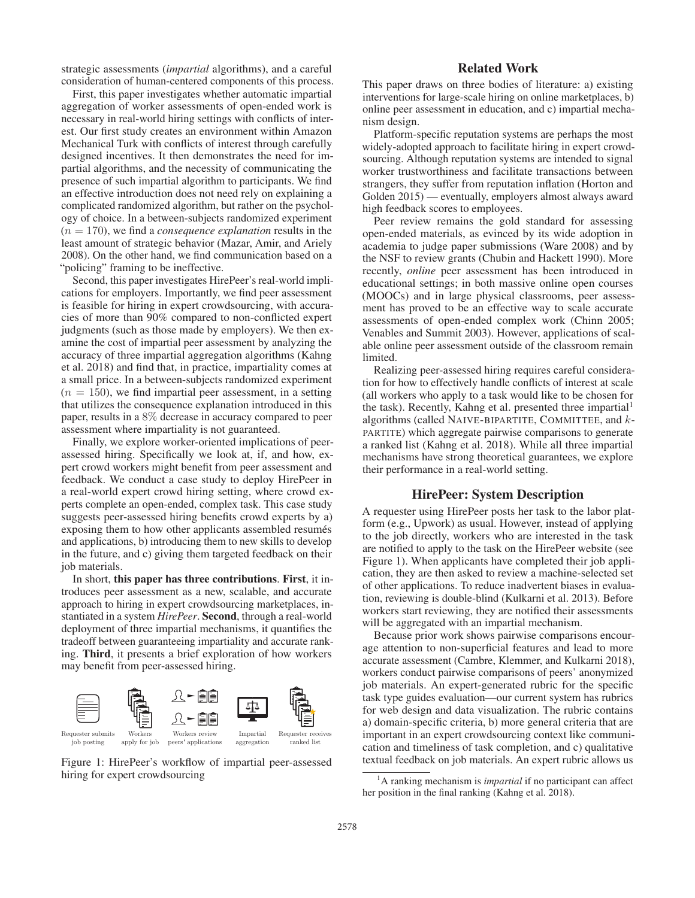strategic assessments (*impartial* algorithms), and a careful consideration of human-centered components of this process.

First, this paper investigates whether automatic impartial aggregation of worker assessments of open-ended work is necessary in real-world hiring settings with conflicts of interest. Our first study creates an environment within Amazon Mechanical Turk with conflicts of interest through carefully designed incentives. It then demonstrates the need for impartial algorithms, and the necessity of communicating the presence of such impartial algorithm to participants. We find an effective introduction does not need rely on explaining a complicated randomized algorithm, but rather on the psychology of choice. In a between-subjects randomized experiment  $(n = 170)$ , we find a *consequence explanation* results in the least amount of strategic behavior (Mazar, Amir, and Ariely 2008). On the other hand, we find communication based on a "policing" framing to be ineffective.

Second, this paper investigates HirePeer's real-world implications for employers. Importantly, we find peer assessment is feasible for hiring in expert crowdsourcing, with accuracies of more than 90% compared to non-conflicted expert judgments (such as those made by employers). We then examine the cost of impartial peer assessment by analyzing the accuracy of three impartial aggregation algorithms (Kahng et al. 2018) and find that, in practice, impartiality comes at a small price. In a between-subjects randomized experiment  $(n = 150)$ , we find impartial peer assessment, in a setting that utilizes the consequence explanation introduced in this paper, results in a 8% decrease in accuracy compared to peer assessment where impartiality is not guaranteed.

Finally, we explore worker-oriented implications of peerassessed hiring. Specifically we look at, if, and how, expert crowd workers might benefit from peer assessment and feedback. We conduct a case study to deploy HirePeer in a real-world expert crowd hiring setting, where crowd experts complete an open-ended, complex task. This case study suggests peer-assessed hiring benefits crowd experts by a) exposing them to how other applicants assembled resumés and applications, b) introducing them to new skills to develop in the future, and c) giving them targeted feedback on their job materials.

In short, this paper has three contributions. First, it introduces peer assessment as a new, scalable, and accurate approach to hiring in expert crowdsourcing marketplaces, instantiated in a system *HirePeer*. Second, through a real-world deployment of three impartial mechanisms, it quantifies the tradeoff between guaranteeing impartiality and accurate ranking. Third, it presents a brief exploration of how workers may benefit from peer-assessed hiring.



Figure 1: HirePeer's workflow of impartial peer-assessed hiring for expert crowdsourcing

### Related Work

This paper draws on three bodies of literature: a) existing interventions for large-scale hiring on online marketplaces, b) online peer assessment in education, and c) impartial mechanism design.

Platform-specific reputation systems are perhaps the most widely-adopted approach to facilitate hiring in expert crowdsourcing. Although reputation systems are intended to signal worker trustworthiness and facilitate transactions between strangers, they suffer from reputation inflation (Horton and Golden 2015) — eventually, employers almost always award high feedback scores to employees.

Peer review remains the gold standard for assessing open-ended materials, as evinced by its wide adoption in academia to judge paper submissions (Ware 2008) and by the NSF to review grants (Chubin and Hackett 1990). More recently, *online* peer assessment has been introduced in educational settings; in both massive online open courses (MOOCs) and in large physical classrooms, peer assessment has proved to be an effective way to scale accurate assessments of open-ended complex work (Chinn 2005; Venables and Summit 2003). However, applications of scalable online peer assessment outside of the classroom remain limited.

Realizing peer-assessed hiring requires careful consideration for how to effectively handle conflicts of interest at scale (all workers who apply to a task would like to be chosen for the task). Recently, Kahng et al. presented three impartial<sup>1</sup> algorithms (called NAIVE-BIPARTITE, COMMITTEE, and k-PARTITE) which aggregate pairwise comparisons to generate a ranked list (Kahng et al. 2018). While all three impartial mechanisms have strong theoretical guarantees, we explore their performance in a real-world setting.

### HirePeer: System Description

A requester using HirePeer posts her task to the labor platform (e.g., Upwork) as usual. However, instead of applying to the job directly, workers who are interested in the task are notified to apply to the task on the HirePeer website (see Figure 1). When applicants have completed their job application, they are then asked to review a machine-selected set of other applications. To reduce inadvertent biases in evaluation, reviewing is double-blind (Kulkarni et al. 2013). Before workers start reviewing, they are notified their assessments will be aggregated with an impartial mechanism.

Because prior work shows pairwise comparisons encourage attention to non-superficial features and lead to more accurate assessment (Cambre, Klemmer, and Kulkarni 2018), workers conduct pairwise comparisons of peers' anonymized job materials. An expert-generated rubric for the specific task type guides evaluation—our current system has rubrics for web design and data visualization. The rubric contains a) domain-specific criteria, b) more general criteria that are important in an expert crowdsourcing context like communication and timeliness of task completion, and c) qualitative textual feedback on job materials. An expert rubric allows us

<sup>&</sup>lt;sup>1</sup>A ranking mechanism is *impartial* if no participant can affect her position in the final ranking (Kahng et al. 2018).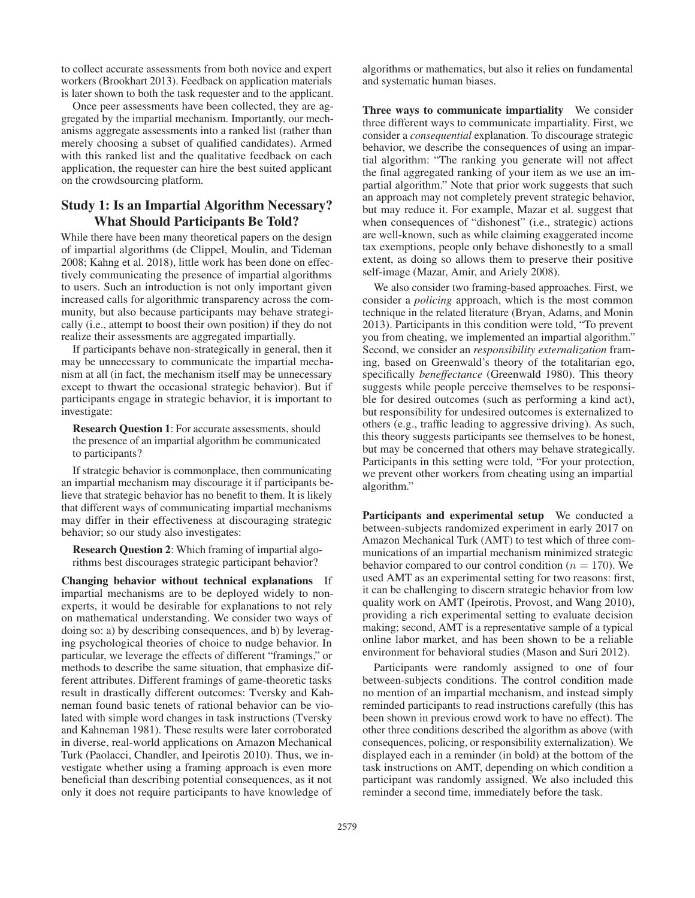to collect accurate assessments from both novice and expert workers (Brookhart 2013). Feedback on application materials is later shown to both the task requester and to the applicant.

Once peer assessments have been collected, they are aggregated by the impartial mechanism. Importantly, our mechanisms aggregate assessments into a ranked list (rather than merely choosing a subset of qualified candidates). Armed with this ranked list and the qualitative feedback on each application, the requester can hire the best suited applicant on the crowdsourcing platform.

## Study 1: Is an Impartial Algorithm Necessary? What Should Participants Be Told?

While there have been many theoretical papers on the design of impartial algorithms (de Clippel, Moulin, and Tideman 2008; Kahng et al. 2018), little work has been done on effectively communicating the presence of impartial algorithms to users. Such an introduction is not only important given increased calls for algorithmic transparency across the community, but also because participants may behave strategically (i.e., attempt to boost their own position) if they do not realize their assessments are aggregated impartially.

If participants behave non-strategically in general, then it may be unnecessary to communicate the impartial mechanism at all (in fact, the mechanism itself may be unnecessary except to thwart the occasional strategic behavior). But if participants engage in strategic behavior, it is important to investigate:

Research Question 1: For accurate assessments, should the presence of an impartial algorithm be communicated to participants?

If strategic behavior is commonplace, then communicating an impartial mechanism may discourage it if participants believe that strategic behavior has no benefit to them. It is likely that different ways of communicating impartial mechanisms may differ in their effectiveness at discouraging strategic behavior; so our study also investigates:

Research Question 2: Which framing of impartial algorithms best discourages strategic participant behavior?

Changing behavior without technical explanations If impartial mechanisms are to be deployed widely to nonexperts, it would be desirable for explanations to not rely on mathematical understanding. We consider two ways of doing so: a) by describing consequences, and b) by leveraging psychological theories of choice to nudge behavior. In particular, we leverage the effects of different "framings," or methods to describe the same situation, that emphasize different attributes. Different framings of game-theoretic tasks result in drastically different outcomes: Tversky and Kahneman found basic tenets of rational behavior can be violated with simple word changes in task instructions (Tversky and Kahneman 1981). These results were later corroborated in diverse, real-world applications on Amazon Mechanical Turk (Paolacci, Chandler, and Ipeirotis 2010). Thus, we investigate whether using a framing approach is even more beneficial than describing potential consequences, as it not only it does not require participants to have knowledge of

algorithms or mathematics, but also it relies on fundamental and systematic human biases.

Three ways to communicate impartiality We consider three different ways to communicate impartiality. First, we consider a *consequential* explanation. To discourage strategic behavior, we describe the consequences of using an impartial algorithm: "The ranking you generate will not affect the final aggregated ranking of your item as we use an impartial algorithm." Note that prior work suggests that such an approach may not completely prevent strategic behavior, but may reduce it. For example, Mazar et al. suggest that when consequences of "dishonest" (i.e., strategic) actions are well-known, such as while claiming exaggerated income tax exemptions, people only behave dishonestly to a small extent, as doing so allows them to preserve their positive self-image (Mazar, Amir, and Ariely 2008).

We also consider two framing-based approaches. First, we consider a *policing* approach, which is the most common technique in the related literature (Bryan, Adams, and Monin 2013). Participants in this condition were told, "To prevent you from cheating, we implemented an impartial algorithm." Second, we consider an *responsibility externalization* framing, based on Greenwald's theory of the totalitarian ego, specifically *beneffectance* (Greenwald 1980). This theory suggests while people perceive themselves to be responsible for desired outcomes (such as performing a kind act), but responsibility for undesired outcomes is externalized to others (e.g., traffic leading to aggressive driving). As such, this theory suggests participants see themselves to be honest, but may be concerned that others may behave strategically. Participants in this setting were told, "For your protection, we prevent other workers from cheating using an impartial algorithm."

Participants and experimental setup We conducted a between-subjects randomized experiment in early 2017 on Amazon Mechanical Turk (AMT) to test which of three communications of an impartial mechanism minimized strategic behavior compared to our control condition ( $n = 170$ ). We used AMT as an experimental setting for two reasons: first, it can be challenging to discern strategic behavior from low quality work on AMT (Ipeirotis, Provost, and Wang 2010), providing a rich experimental setting to evaluate decision making; second, AMT is a representative sample of a typical online labor market, and has been shown to be a reliable environment for behavioral studies (Mason and Suri 2012).

Participants were randomly assigned to one of four between-subjects conditions. The control condition made no mention of an impartial mechanism, and instead simply reminded participants to read instructions carefully (this has been shown in previous crowd work to have no effect). The other three conditions described the algorithm as above (with consequences, policing, or responsibility externalization). We displayed each in a reminder (in bold) at the bottom of the task instructions on AMT, depending on which condition a participant was randomly assigned. We also included this reminder a second time, immediately before the task.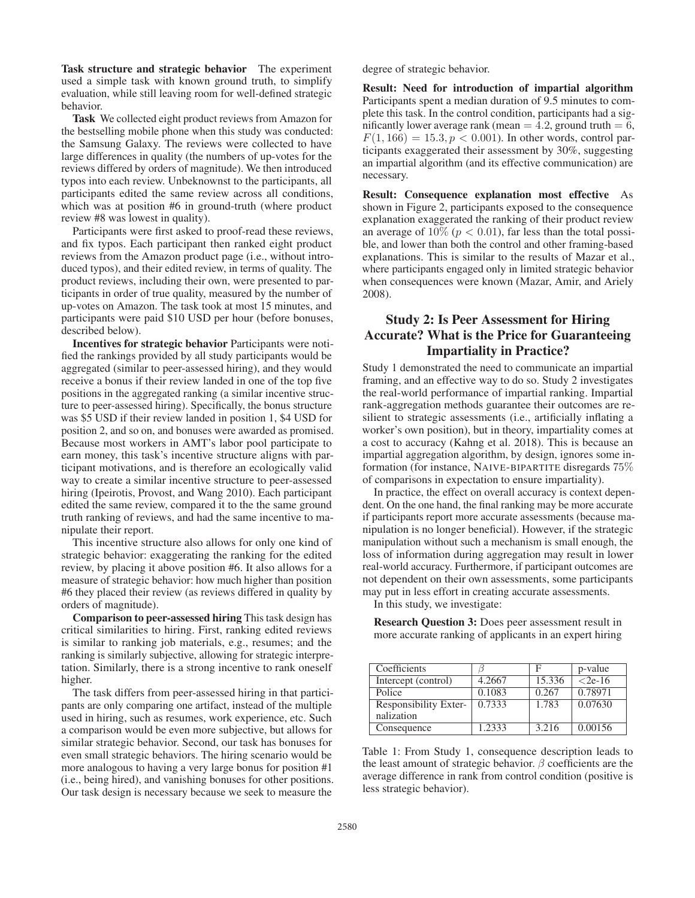Task structure and strategic behavior The experiment used a simple task with known ground truth, to simplify evaluation, while still leaving room for well-defined strategic behavior.

Task We collected eight product reviews from Amazon for the bestselling mobile phone when this study was conducted: the Samsung Galaxy. The reviews were collected to have large differences in quality (the numbers of up-votes for the reviews differed by orders of magnitude). We then introduced typos into each review. Unbeknownst to the participants, all participants edited the same review across all conditions, which was at position #6 in ground-truth (where product review #8 was lowest in quality).

Participants were first asked to proof-read these reviews, and fix typos. Each participant then ranked eight product reviews from the Amazon product page (i.e., without introduced typos), and their edited review, in terms of quality. The product reviews, including their own, were presented to participants in order of true quality, measured by the number of up-votes on Amazon. The task took at most 15 minutes, and participants were paid \$10 USD per hour (before bonuses, described below).

Incentives for strategic behavior Participants were notified the rankings provided by all study participants would be aggregated (similar to peer-assessed hiring), and they would receive a bonus if their review landed in one of the top five positions in the aggregated ranking (a similar incentive structure to peer-assessed hiring). Specifically, the bonus structure was \$5 USD if their review landed in position 1, \$4 USD for position 2, and so on, and bonuses were awarded as promised. Because most workers in AMT's labor pool participate to earn money, this task's incentive structure aligns with participant motivations, and is therefore an ecologically valid way to create a similar incentive structure to peer-assessed hiring (Ipeirotis, Provost, and Wang 2010). Each participant edited the same review, compared it to the the same ground truth ranking of reviews, and had the same incentive to manipulate their report.

This incentive structure also allows for only one kind of strategic behavior: exaggerating the ranking for the edited review, by placing it above position #6. It also allows for a measure of strategic behavior: how much higher than position #6 they placed their review (as reviews differed in quality by orders of magnitude).

Comparison to peer-assessed hiring This task design has critical similarities to hiring. First, ranking edited reviews is similar to ranking job materials, e.g., resumes; and the ranking is similarly subjective, allowing for strategic interpretation. Similarly, there is a strong incentive to rank oneself higher.

The task differs from peer-assessed hiring in that participants are only comparing one artifact, instead of the multiple used in hiring, such as resumes, work experience, etc. Such a comparison would be even more subjective, but allows for similar strategic behavior. Second, our task has bonuses for even small strategic behaviors. The hiring scenario would be more analogous to having a very large bonus for position #1 (i.e., being hired), and vanishing bonuses for other positions. Our task design is necessary because we seek to measure the degree of strategic behavior.

Result: Need for introduction of impartial algorithm Participants spent a median duration of 9.5 minutes to complete this task. In the control condition, participants had a significantly lower average rank (mean  $= 4.2$ , ground truth  $= 6$ ,  $F(1, 166) = 15.3, p < 0.001$ ). In other words, control participants exaggerated their assessment by 30%, suggesting an impartial algorithm (and its effective communication) are necessary.

Result: Consequence explanation most effective As shown in Figure 2, participants exposed to the consequence explanation exaggerated the ranking of their product review an average of  $10\%$  ( $p < 0.01$ ), far less than the total possible, and lower than both the control and other framing-based explanations. This is similar to the results of Mazar et al., where participants engaged only in limited strategic behavior when consequences were known (Mazar, Amir, and Ariely 2008).

# Study 2: Is Peer Assessment for Hiring Accurate? What is the Price for Guaranteeing Impartiality in Practice?

Study 1 demonstrated the need to communicate an impartial framing, and an effective way to do so. Study 2 investigates the real-world performance of impartial ranking. Impartial rank-aggregation methods guarantee their outcomes are resilient to strategic assessments (i.e., artificially inflating a worker's own position), but in theory, impartiality comes at a cost to accuracy (Kahng et al. 2018). This is because an impartial aggregation algorithm, by design, ignores some information (for instance, NAIVE-BIPARTITE disregards 75% of comparisons in expectation to ensure impartiality).

In practice, the effect on overall accuracy is context dependent. On the one hand, the final ranking may be more accurate if participants report more accurate assessments (because manipulation is no longer beneficial). However, if the strategic manipulation without such a mechanism is small enough, the loss of information during aggregation may result in lower real-world accuracy. Furthermore, if participant outcomes are not dependent on their own assessments, some participants may put in less effort in creating accurate assessments.

In this study, we investigate:

Research Question 3: Does peer assessment result in more accurate ranking of applicants in an expert hiring

| Coefficients          |        | F      | p-value   |
|-----------------------|--------|--------|-----------|
| Intercept (control)   | 4.2667 | 15.336 | $<$ 2e-16 |
| Police                | 0.1083 | 0.267  | 0.78971   |
| Responsibility Exter- | 0.7333 | 1.783  | 0.07630   |
| nalization            |        |        |           |
| Consequence           | 1.2333 | 3.216  | 0.00156   |

Table 1: From Study 1, consequence description leads to the least amount of strategic behavior.  $\beta$  coefficients are the average difference in rank from control condition (positive is less strategic behavior).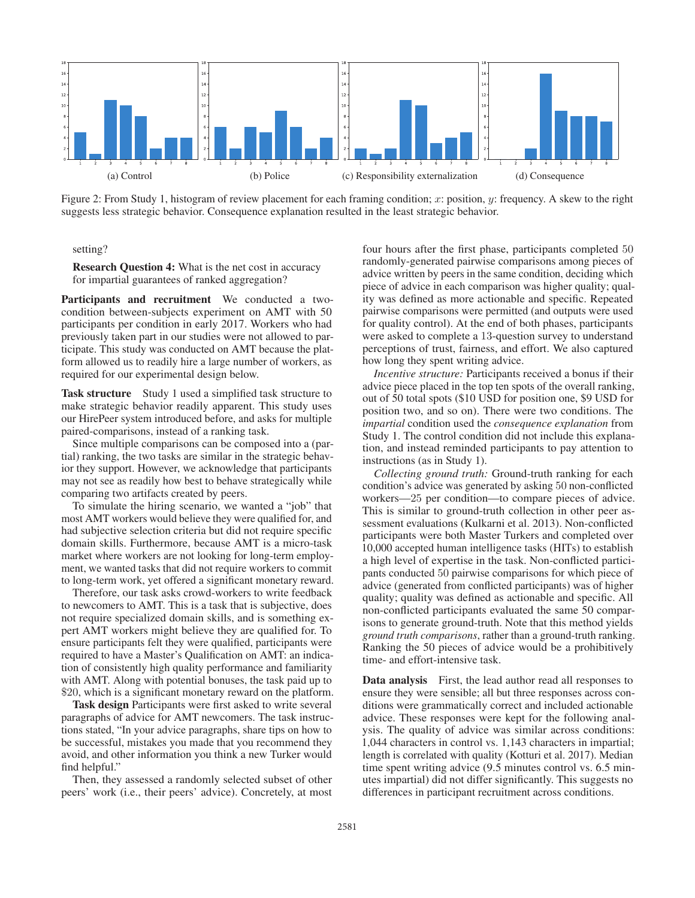

Figure 2: From Study 1, histogram of review placement for each framing condition; x: position, y: frequency. A skew to the right suggests less strategic behavior. Consequence explanation resulted in the least strategic behavior.

setting?

Research Question 4: What is the net cost in accuracy for impartial guarantees of ranked aggregation?

Participants and recruitment We conducted a twocondition between-subjects experiment on AMT with 50 participants per condition in early 2017. Workers who had previously taken part in our studies were not allowed to participate. This study was conducted on AMT because the platform allowed us to readily hire a large number of workers, as required for our experimental design below.

Task structure Study 1 used a simplified task structure to make strategic behavior readily apparent. This study uses our HirePeer system introduced before, and asks for multiple paired-comparisons, instead of a ranking task.

Since multiple comparisons can be composed into a (partial) ranking, the two tasks are similar in the strategic behavior they support. However, we acknowledge that participants may not see as readily how best to behave strategically while comparing two artifacts created by peers.

To simulate the hiring scenario, we wanted a "job" that most AMT workers would believe they were qualified for, and had subjective selection criteria but did not require specific domain skills. Furthermore, because AMT is a micro-task market where workers are not looking for long-term employment, we wanted tasks that did not require workers to commit to long-term work, yet offered a significant monetary reward.

Therefore, our task asks crowd-workers to write feedback to newcomers to AMT. This is a task that is subjective, does not require specialized domain skills, and is something expert AMT workers might believe they are qualified for. To ensure participants felt they were qualified, participants were required to have a Master's Qualification on AMT: an indication of consistently high quality performance and familiarity with AMT. Along with potential bonuses, the task paid up to \$20, which is a significant monetary reward on the platform.

Task design Participants were first asked to write several paragraphs of advice for AMT newcomers. The task instructions stated, "In your advice paragraphs, share tips on how to be successful, mistakes you made that you recommend they avoid, and other information you think a new Turker would find helpful."

Then, they assessed a randomly selected subset of other peers' work (i.e., their peers' advice). Concretely, at most

four hours after the first phase, participants completed 50 randomly-generated pairwise comparisons among pieces of advice written by peers in the same condition, deciding which piece of advice in each comparison was higher quality; quality was defined as more actionable and specific. Repeated pairwise comparisons were permitted (and outputs were used for quality control). At the end of both phases, participants were asked to complete a 13-question survey to understand perceptions of trust, fairness, and effort. We also captured how long they spent writing advice.

*Incentive structure:* Participants received a bonus if their advice piece placed in the top ten spots of the overall ranking, out of 50 total spots (\$10 USD for position one, \$9 USD for position two, and so on). There were two conditions. The *impartial* condition used the *consequence explanation* from Study 1. The control condition did not include this explanation, and instead reminded participants to pay attention to instructions (as in Study 1).

*Collecting ground truth:* Ground-truth ranking for each condition's advice was generated by asking 50 non-conflicted workers—25 per condition—to compare pieces of advice. This is similar to ground-truth collection in other peer assessment evaluations (Kulkarni et al. 2013). Non-conflicted participants were both Master Turkers and completed over 10,000 accepted human intelligence tasks (HITs) to establish a high level of expertise in the task. Non-conflicted participants conducted 50 pairwise comparisons for which piece of advice (generated from conflicted participants) was of higher quality; quality was defined as actionable and specific. All non-conflicted participants evaluated the same 50 comparisons to generate ground-truth. Note that this method yields *ground truth comparisons*, rather than a ground-truth ranking. Ranking the 50 pieces of advice would be a prohibitively time- and effort-intensive task.

Data analysis First, the lead author read all responses to ensure they were sensible; all but three responses across conditions were grammatically correct and included actionable advice. These responses were kept for the following analysis. The quality of advice was similar across conditions: 1,044 characters in control vs. 1,143 characters in impartial; length is correlated with quality (Kotturi et al. 2017). Median time spent writing advice (9.5 minutes control vs. 6.5 minutes impartial) did not differ significantly. This suggests no differences in participant recruitment across conditions.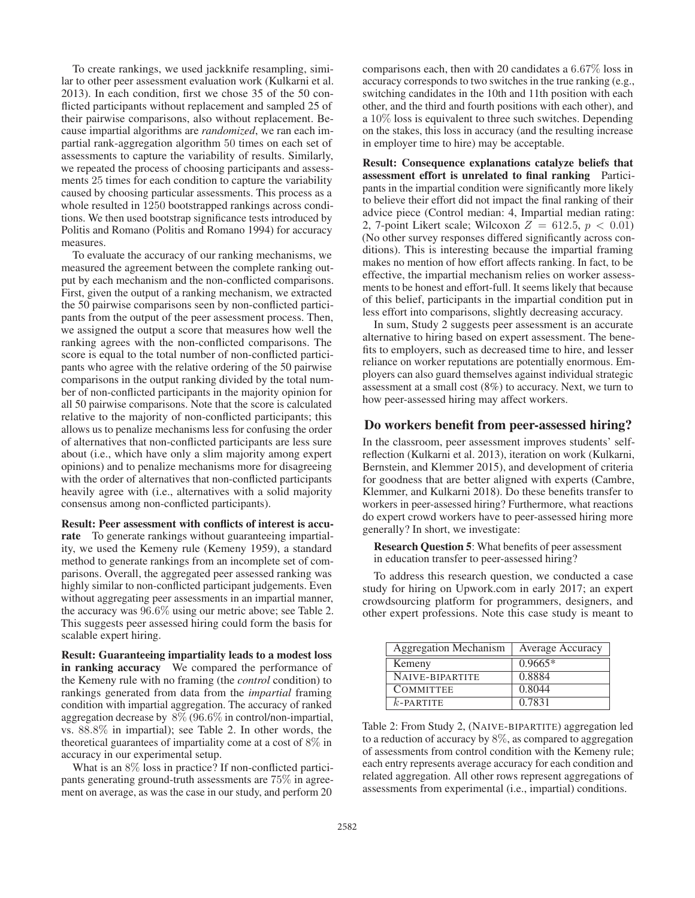To create rankings, we used jackknife resampling, similar to other peer assessment evaluation work (Kulkarni et al. 2013). In each condition, first we chose 35 of the 50 conflicted participants without replacement and sampled 25 of their pairwise comparisons, also without replacement. Because impartial algorithms are *randomized*, we ran each impartial rank-aggregation algorithm 50 times on each set of assessments to capture the variability of results. Similarly, we repeated the process of choosing participants and assessments 25 times for each condition to capture the variability caused by choosing particular assessments. This process as a whole resulted in 1250 bootstrapped rankings across conditions. We then used bootstrap significance tests introduced by Politis and Romano (Politis and Romano 1994) for accuracy measures.

To evaluate the accuracy of our ranking mechanisms, we measured the agreement between the complete ranking output by each mechanism and the non-conflicted comparisons. First, given the output of a ranking mechanism, we extracted the 50 pairwise comparisons seen by non-conflicted participants from the output of the peer assessment process. Then, we assigned the output a score that measures how well the ranking agrees with the non-conflicted comparisons. The score is equal to the total number of non-conflicted participants who agree with the relative ordering of the 50 pairwise comparisons in the output ranking divided by the total number of non-conflicted participants in the majority opinion for all 50 pairwise comparisons. Note that the score is calculated relative to the majority of non-conflicted participants; this allows us to penalize mechanisms less for confusing the order of alternatives that non-conflicted participants are less sure about (i.e., which have only a slim majority among expert opinions) and to penalize mechanisms more for disagreeing with the order of alternatives that non-conflicted participants heavily agree with (i.e., alternatives with a solid majority consensus among non-conflicted participants).

Result: Peer assessment with conflicts of interest is accurate To generate rankings without guaranteeing impartiality, we used the Kemeny rule (Kemeny 1959), a standard method to generate rankings from an incomplete set of comparisons. Overall, the aggregated peer assessed ranking was highly similar to non-conflicted participant judgements. Even without aggregating peer assessments in an impartial manner, the accuracy was 96.6% using our metric above; see Table 2. This suggests peer assessed hiring could form the basis for scalable expert hiring.

Result: Guaranteeing impartiality leads to a modest loss in ranking accuracy We compared the performance of the Kemeny rule with no framing (the *control* condition) to rankings generated from data from the *impartial* framing condition with impartial aggregation. The accuracy of ranked aggregation decrease by 8% (96.6% in control/non-impartial, vs. 88.8% in impartial); see Table 2. In other words, the theoretical guarantees of impartiality come at a cost of 8% in accuracy in our experimental setup.

What is an  $8\%$  loss in practice? If non-conflicted participants generating ground-truth assessments are 75% in agreement on average, as was the case in our study, and perform 20 comparisons each, then with 20 candidates a 6.67% loss in accuracy corresponds to two switches in the true ranking (e.g., switching candidates in the 10th and 11th position with each other, and the third and fourth positions with each other), and a 10% loss is equivalent to three such switches. Depending on the stakes, this loss in accuracy (and the resulting increase in employer time to hire) may be acceptable.

Result: Consequence explanations catalyze beliefs that assessment effort is unrelated to final ranking Participants in the impartial condition were significantly more likely to believe their effort did not impact the final ranking of their advice piece (Control median: 4, Impartial median rating: 2, 7-point Likert scale; Wilcoxon  $Z = 612.5, p < 0.01$ ) (No other survey responses differed significantly across conditions). This is interesting because the impartial framing makes no mention of how effort affects ranking. In fact, to be effective, the impartial mechanism relies on worker assessments to be honest and effort-full. It seems likely that because of this belief, participants in the impartial condition put in less effort into comparisons, slightly decreasing accuracy.

In sum, Study 2 suggests peer assessment is an accurate alternative to hiring based on expert assessment. The benefits to employers, such as decreased time to hire, and lesser reliance on worker reputations are potentially enormous. Employers can also guard themselves against individual strategic assessment at a small cost (8%) to accuracy. Next, we turn to how peer-assessed hiring may affect workers.

### Do workers benefit from peer-assessed hiring?

In the classroom, peer assessment improves students' selfreflection (Kulkarni et al. 2013), iteration on work (Kulkarni, Bernstein, and Klemmer 2015), and development of criteria for goodness that are better aligned with experts (Cambre, Klemmer, and Kulkarni 2018). Do these benefits transfer to workers in peer-assessed hiring? Furthermore, what reactions do expert crowd workers have to peer-assessed hiring more generally? In short, we investigate:

Research Question 5: What benefits of peer assessment in education transfer to peer-assessed hiring?

To address this research question, we conducted a case study for hiring on Upwork.com in early 2017; an expert crowdsourcing platform for programmers, designers, and other expert professions. Note this case study is meant to

| Aggregation Mechanism | Average Accuracy |
|-----------------------|------------------|
| Kemeny                | $0.9665*$        |
| NAIVE-BIPARTITE       | 0.8884           |
| <b>COMMITTEE</b>      | 0.8044           |
| $k$ -PARTITE          | 0.7831           |

Table 2: From Study 2, (NAIVE-BIPARTITE) aggregation led to a reduction of accuracy by  $8\%$ , as compared to aggregation of assessments from control condition with the Kemeny rule; each entry represents average accuracy for each condition and related aggregation. All other rows represent aggregations of assessments from experimental (i.e., impartial) conditions.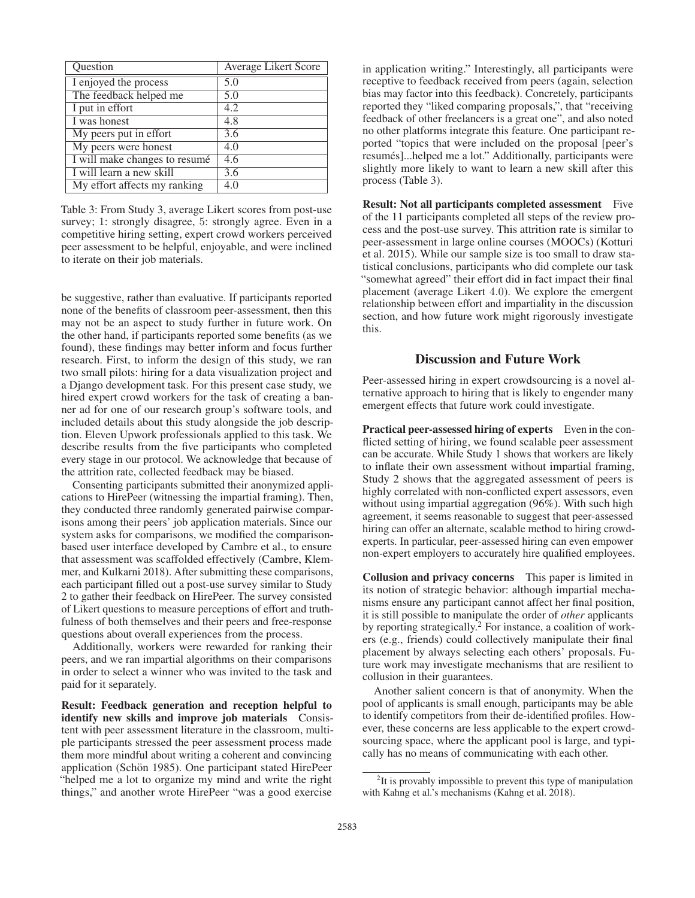| Question                      | Average Likert Score |
|-------------------------------|----------------------|
| I enjoyed the process         | 5.0                  |
| The feedback helped me        | 5.0                  |
| I put in effort               | 4.2                  |
| I was honest                  | $\overline{4.8}$     |
| My peers put in effort        | 3.6                  |
| My peers were honest          | 4.0                  |
| I will make changes to resumé | 4.6                  |
| I will learn a new skill      | $\overline{3.6}$     |
| My effort affects my ranking  | 4.0                  |

Table 3: From Study 3, average Likert scores from post-use survey; 1: strongly disagree, 5: strongly agree. Even in a competitive hiring setting, expert crowd workers perceived peer assessment to be helpful, enjoyable, and were inclined to iterate on their job materials.

be suggestive, rather than evaluative. If participants reported none of the benefits of classroom peer-assessment, then this may not be an aspect to study further in future work. On the other hand, if participants reported some benefits (as we found), these findings may better inform and focus further research. First, to inform the design of this study, we ran two small pilots: hiring for a data visualization project and a Django development task. For this present case study, we hired expert crowd workers for the task of creating a banner ad for one of our research group's software tools, and included details about this study alongside the job description. Eleven Upwork professionals applied to this task. We describe results from the five participants who completed every stage in our protocol. We acknowledge that because of the attrition rate, collected feedback may be biased.

Consenting participants submitted their anonymized applications to HirePeer (witnessing the impartial framing). Then, they conducted three randomly generated pairwise comparisons among their peers' job application materials. Since our system asks for comparisons, we modified the comparisonbased user interface developed by Cambre et al., to ensure that assessment was scaffolded effectively (Cambre, Klemmer, and Kulkarni 2018). After submitting these comparisons, each participant filled out a post-use survey similar to Study 2 to gather their feedback on HirePeer. The survey consisted of Likert questions to measure perceptions of effort and truthfulness of both themselves and their peers and free-response questions about overall experiences from the process.

Additionally, workers were rewarded for ranking their peers, and we ran impartial algorithms on their comparisons in order to select a winner who was invited to the task and paid for it separately.

Result: Feedback generation and reception helpful to identify new skills and improve job materials Consistent with peer assessment literature in the classroom, multiple participants stressed the peer assessment process made them more mindful about writing a coherent and convincing application (Schön 1985). One participant stated HirePeer "helped me a lot to organize my mind and write the right things," and another wrote HirePeer "was a good exercise

in application writing." Interestingly, all participants were receptive to feedback received from peers (again, selection bias may factor into this feedback). Concretely, participants reported they "liked comparing proposals,", that "receiving feedback of other freelancers is a great one", and also noted no other platforms integrate this feature. One participant reported "topics that were included on the proposal [peer's resumés]...helped me a lot." Additionally, participants were slightly more likely to want to learn a new skill after this process (Table 3).

Result: Not all participants completed assessment Five of the 11 participants completed all steps of the review process and the post-use survey. This attrition rate is similar to peer-assessment in large online courses (MOOCs) (Kotturi et al. 2015). While our sample size is too small to draw statistical conclusions, participants who did complete our task "somewhat agreed" their effort did in fact impact their final placement (average Likert 4.0). We explore the emergent relationship between effort and impartiality in the discussion section, and how future work might rigorously investigate this.

### Discussion and Future Work

Peer-assessed hiring in expert crowdsourcing is a novel alternative approach to hiring that is likely to engender many emergent effects that future work could investigate.

Practical peer-assessed hiring of experts Even in the conflicted setting of hiring, we found scalable peer assessment can be accurate. While Study 1 shows that workers are likely to inflate their own assessment without impartial framing, Study 2 shows that the aggregated assessment of peers is highly correlated with non-conflicted expert assessors, even without using impartial aggregation (96%). With such high agreement, it seems reasonable to suggest that peer-assessed hiring can offer an alternate, scalable method to hiring crowdexperts. In particular, peer-assessed hiring can even empower non-expert employers to accurately hire qualified employees.

Collusion and privacy concerns This paper is limited in its notion of strategic behavior: although impartial mechanisms ensure any participant cannot affect her final position, it is still possible to manipulate the order of *other* applicants by reporting strategically.<sup>2</sup> For instance, a coalition of workers (e.g., friends) could collectively manipulate their final placement by always selecting each others' proposals. Future work may investigate mechanisms that are resilient to collusion in their guarantees.

Another salient concern is that of anonymity. When the pool of applicants is small enough, participants may be able to identify competitors from their de-identified profiles. However, these concerns are less applicable to the expert crowdsourcing space, where the applicant pool is large, and typically has no means of communicating with each other.

<sup>&</sup>lt;sup>2</sup>It is provably impossible to prevent this type of manipulation with Kahng et al.'s mechanisms (Kahng et al. 2018).